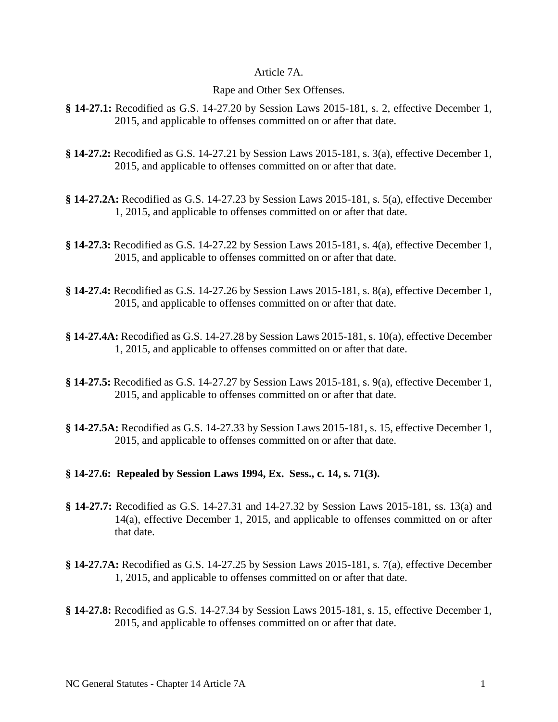## Article 7A.

## Rape and Other Sex Offenses.

- **§ 14-27.1:** Recodified as G.S. 14-27.20 by Session Laws 2015-181, s. 2, effective December 1, 2015, and applicable to offenses committed on or after that date.
- **§ 14-27.2:** Recodified as G.S. 14-27.21 by Session Laws 2015-181, s. 3(a), effective December 1, 2015, and applicable to offenses committed on or after that date.
- **§ 14-27.2A:** Recodified as G.S. 14-27.23 by Session Laws 2015-181, s. 5(a), effective December 1, 2015, and applicable to offenses committed on or after that date.
- **§ 14-27.3:** Recodified as G.S. 14-27.22 by Session Laws 2015-181, s. 4(a), effective December 1, 2015, and applicable to offenses committed on or after that date.
- **§ 14-27.4:** Recodified as G.S. 14-27.26 by Session Laws 2015-181, s. 8(a), effective December 1, 2015, and applicable to offenses committed on or after that date.
- **§ 14-27.4A:** Recodified as G.S. 14-27.28 by Session Laws 2015-181, s. 10(a), effective December 1, 2015, and applicable to offenses committed on or after that date.
- **§ 14-27.5:** Recodified as G.S. 14-27.27 by Session Laws 2015-181, s. 9(a), effective December 1, 2015, and applicable to offenses committed on or after that date.
- **§ 14-27.5A:** Recodified as G.S. 14-27.33 by Session Laws 2015-181, s. 15, effective December 1, 2015, and applicable to offenses committed on or after that date.

## **§ 14-27.6: Repealed by Session Laws 1994, Ex. Sess., c. 14, s. 71(3).**

- **§ 14-27.7:** Recodified as G.S. 14-27.31 and 14-27.32 by Session Laws 2015-181, ss. 13(a) and 14(a), effective December 1, 2015, and applicable to offenses committed on or after that date.
- **§ 14-27.7A:** Recodified as G.S. 14-27.25 by Session Laws 2015-181, s. 7(a), effective December 1, 2015, and applicable to offenses committed on or after that date.
- **§ 14-27.8:** Recodified as G.S. 14-27.34 by Session Laws 2015-181, s. 15, effective December 1, 2015, and applicable to offenses committed on or after that date.